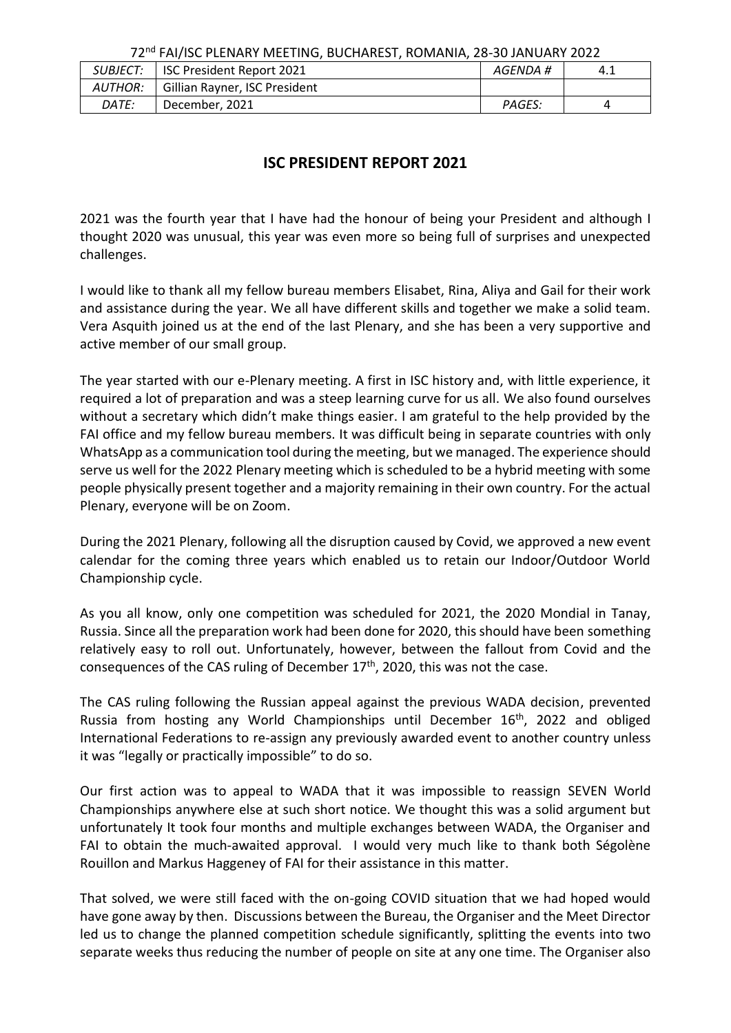| SUBJECT: | ISC President Report 2021     | AGENDA # | 4.1 |  |
|----------|-------------------------------|----------|-----|--|
| AUTHOR:  | Gillian Rayner, ISC President |          |     |  |
| DATE:    | December, 2021                | PAGES:   |     |  |

## **ISC PRESIDENT REPORT 2021**

2021 was the fourth year that I have had the honour of being your President and although I thought 2020 was unusual, this year was even more so being full of surprises and unexpected challenges.

I would like to thank all my fellow bureau members Elisabet, Rina, Aliya and Gail for their work and assistance during the year. We all have different skills and together we make a solid team. Vera Asquith joined us at the end of the last Plenary, and she has been a very supportive and active member of our small group.

The year started with our e-Plenary meeting. A first in ISC history and, with little experience, it required a lot of preparation and was a steep learning curve for us all. We also found ourselves without a secretary which didn't make things easier. I am grateful to the help provided by the FAI office and my fellow bureau members. It was difficult being in separate countries with only WhatsApp as a communication tool during the meeting, but we managed. The experience should serve us well for the 2022 Plenary meeting which is scheduled to be a hybrid meeting with some people physically present together and a majority remaining in their own country. For the actual Plenary, everyone will be on Zoom.

During the 2021 Plenary, following all the disruption caused by Covid, we approved a new event calendar for the coming three years which enabled us to retain our Indoor/Outdoor World Championship cycle.

As you all know, only one competition was scheduled for 2021, the 2020 Mondial in Tanay, Russia. Since all the preparation work had been done for 2020, this should have been something relatively easy to roll out. Unfortunately, however, between the fallout from Covid and the consequences of the CAS ruling of December  $17<sup>th</sup>$ , 2020, this was not the case.

The CAS ruling following the Russian appeal against the previous WADA decision, prevented Russia from hosting any World Championships until December 16<sup>th</sup>, 2022 and obliged International Federations to re-assign any previously awarded event to another country unless it was "legally or practically impossible" to do so.

Our first action was to appeal to WADA that it was impossible to reassign SEVEN World Championships anywhere else at such short notice. We thought this was a solid argument but unfortunately It took four months and multiple exchanges between WADA, the Organiser and FAI to obtain the much-awaited approval. I would very much like to thank both Ségolène Rouillon and Markus Haggeney of FAI for their assistance in this matter.

That solved, we were still faced with the on-going COVID situation that we had hoped would have gone away by then. Discussions between the Bureau, the Organiser and the Meet Director led us to change the planned competition schedule significantly, splitting the events into two separate weeks thus reducing the number of people on site at any one time. The Organiser also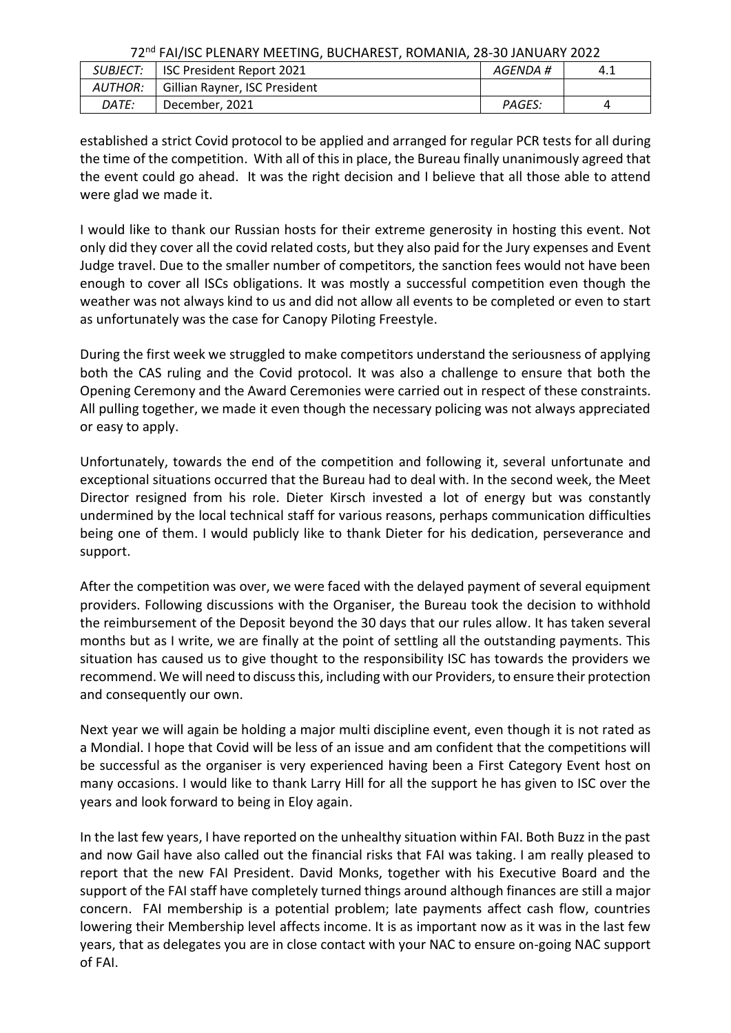| <i>SUBJECT:</i> | <b>ISC President Report 2021</b> | AGENDA # | 4.1 |  |
|-----------------|----------------------------------|----------|-----|--|
| AUTHOR:         | Gillian Rayner, ISC President    |          |     |  |
| DATE:           | December, 2021                   | PAGES:   |     |  |

established a strict Covid protocol to be applied and arranged for regular PCR tests for all during the time of the competition. With all of this in place, the Bureau finally unanimously agreed that the event could go ahead. It was the right decision and I believe that all those able to attend were glad we made it.

I would like to thank our Russian hosts for their extreme generosity in hosting this event. Not only did they cover all the covid related costs, but they also paid for the Jury expenses and Event Judge travel. Due to the smaller number of competitors, the sanction fees would not have been enough to cover all ISCs obligations. It was mostly a successful competition even though the weather was not always kind to us and did not allow all events to be completed or even to start as unfortunately was the case for Canopy Piloting Freestyle.

During the first week we struggled to make competitors understand the seriousness of applying both the CAS ruling and the Covid protocol. It was also a challenge to ensure that both the Opening Ceremony and the Award Ceremonies were carried out in respect of these constraints. All pulling together, we made it even though the necessary policing was not always appreciated or easy to apply.

Unfortunately, towards the end of the competition and following it, several unfortunate and exceptional situations occurred that the Bureau had to deal with. In the second week, the Meet Director resigned from his role. Dieter Kirsch invested a lot of energy but was constantly undermined by the local technical staff for various reasons, perhaps communication difficulties being one of them. I would publicly like to thank Dieter for his dedication, perseverance and support.

After the competition was over, we were faced with the delayed payment of several equipment providers. Following discussions with the Organiser, the Bureau took the decision to withhold the reimbursement of the Deposit beyond the 30 days that our rules allow. It has taken several months but as I write, we are finally at the point of settling all the outstanding payments. This situation has caused us to give thought to the responsibility ISC has towards the providers we recommend. We will need to discuss this, including with our Providers, to ensure their protection and consequently our own.

Next year we will again be holding a major multi discipline event, even though it is not rated as a Mondial. I hope that Covid will be less of an issue and am confident that the competitions will be successful as the organiser is very experienced having been a First Category Event host on many occasions. I would like to thank Larry Hill for all the support he has given to ISC over the years and look forward to being in Eloy again.

In the last few years, I have reported on the unhealthy situation within FAI. Both Buzz in the past and now Gail have also called out the financial risks that FAI was taking. I am really pleased to report that the new FAI President. David Monks, together with his Executive Board and the support of the FAI staff have completely turned things around although finances are still a major concern. FAI membership is a potential problem; late payments affect cash flow, countries lowering their Membership level affects income. It is as important now as it was in the last few years, that as delegates you are in close contact with your NAC to ensure on-going NAC support of FAI.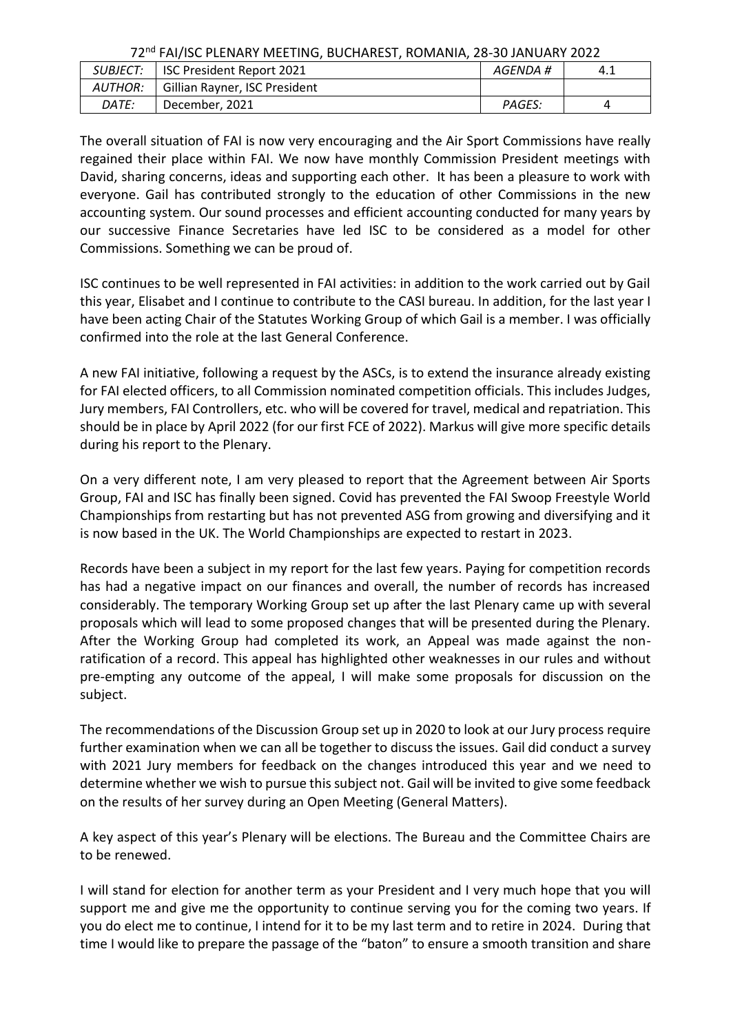| <i>SUBJECT:</i> |                               | AGENDA # |     |
|-----------------|-------------------------------|----------|-----|
|                 | l ISC President Report 2021   |          | 4.1 |
| AUTHOR:         | Gillian Rayner, ISC President |          |     |
| <i>DATE:</i>    | December, 2021                | PAGES:   |     |

The overall situation of FAI is now very encouraging and the Air Sport Commissions have really regained their place within FAI. We now have monthly Commission President meetings with David, sharing concerns, ideas and supporting each other. It has been a pleasure to work with everyone. Gail has contributed strongly to the education of other Commissions in the new accounting system. Our sound processes and efficient accounting conducted for many years by our successive Finance Secretaries have led ISC to be considered as a model for other Commissions. Something we can be proud of.

ISC continues to be well represented in FAI activities: in addition to the work carried out by Gail this year, Elisabet and I continue to contribute to the CASI bureau. In addition, for the last year I have been acting Chair of the Statutes Working Group of which Gail is a member. I was officially confirmed into the role at the last General Conference.

A new FAI initiative, following a request by the ASCs, is to extend the insurance already existing for FAI elected officers, to all Commission nominated competition officials. This includes Judges, Jury members, FAI Controllers, etc. who will be covered for travel, medical and repatriation. This should be in place by April 2022 (for our first FCE of 2022). Markus will give more specific details during his report to the Plenary.

On a very different note, I am very pleased to report that the Agreement between Air Sports Group, FAI and ISC has finally been signed. Covid has prevented the FAI Swoop Freestyle World Championships from restarting but has not prevented ASG from growing and diversifying and it is now based in the UK. The World Championships are expected to restart in 2023.

Records have been a subject in my report for the last few years. Paying for competition records has had a negative impact on our finances and overall, the number of records has increased considerably. The temporary Working Group set up after the last Plenary came up with several proposals which will lead to some proposed changes that will be presented during the Plenary. After the Working Group had completed its work, an Appeal was made against the nonratification of a record. This appeal has highlighted other weaknesses in our rules and without pre-empting any outcome of the appeal, I will make some proposals for discussion on the subject.

The recommendations of the Discussion Group set up in 2020 to look at our Jury process require further examination when we can all be together to discuss the issues. Gail did conduct a survey with 2021 Jury members for feedback on the changes introduced this year and we need to determine whether we wish to pursue this subject not. Gail will be invited to give some feedback on the results of her survey during an Open Meeting (General Matters).

A key aspect of this year's Plenary will be elections. The Bureau and the Committee Chairs are to be renewed.

I will stand for election for another term as your President and I very much hope that you will support me and give me the opportunity to continue serving you for the coming two years. If you do elect me to continue, I intend for it to be my last term and to retire in 2024. During that time I would like to prepare the passage of the "baton" to ensure a smooth transition and share